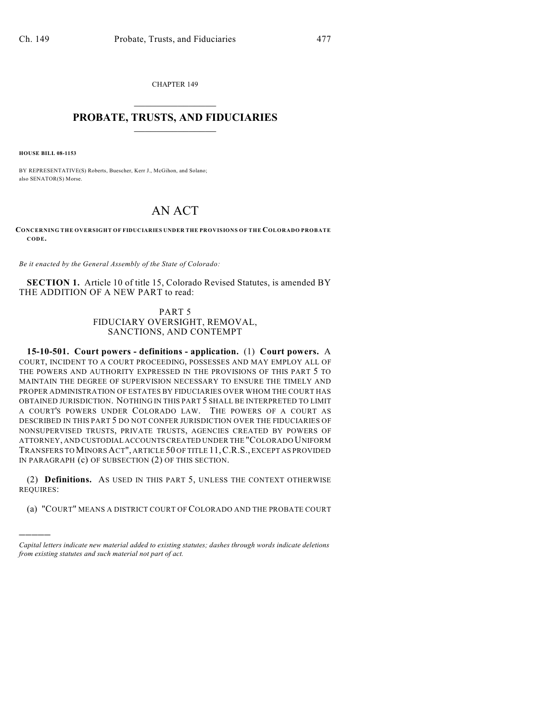CHAPTER 149  $\mathcal{L}_\text{max}$  . The set of the set of the set of the set of the set of the set of the set of the set of the set of the set of the set of the set of the set of the set of the set of the set of the set of the set of the set

## **PROBATE, TRUSTS, AND FIDUCIARIES**  $\overline{\phantom{a}}$

**HOUSE BILL 08-1153**

)))))

BY REPRESENTATIVE(S) Roberts, Buescher, Kerr J., McGihon, and Solano; also SENATOR(S) Morse.

## AN ACT

**CONCERNING THE OVERSIGHT OF FIDUCIARIES UNDER THE PROVISIONS OF THE COLORADO PROBATE CODE.**

*Be it enacted by the General Assembly of the State of Colorado:*

**SECTION 1.** Article 10 of title 15, Colorado Revised Statutes, is amended BY THE ADDITION OF A NEW PART to read:

## PART 5 FIDUCIARY OVERSIGHT, REMOVAL, SANCTIONS, AND CONTEMPT

**15-10-501. Court powers - definitions - application.** (1) **Court powers.** A COURT, INCIDENT TO A COURT PROCEEDING, POSSESSES AND MAY EMPLOY ALL OF THE POWERS AND AUTHORITY EXPRESSED IN THE PROVISIONS OF THIS PART 5 TO MAINTAIN THE DEGREE OF SUPERVISION NECESSARY TO ENSURE THE TIMELY AND PROPER ADMINISTRATION OF ESTATES BY FIDUCIARIES OVER WHOM THE COURT HAS OBTAINED JURISDICTION. NOTHING IN THIS PART 5 SHALL BE INTERPRETED TO LIMIT A COURT'S POWERS UNDER COLORADO LAW. THE POWERS OF A COURT AS DESCRIBED IN THIS PART 5 DO NOT CONFER JURISDICTION OVER THE FIDUCIARIES OF NONSUPERVISED TRUSTS, PRIVATE TRUSTS, AGENCIES CREATED BY POWERS OF ATTORNEY, AND CUSTODIAL ACCOUNTS CREATED UNDER THE "COLORADO UNIFORM TRANSFERS TO MINORS ACT", ARTICLE 50 OF TITLE 11,C.R.S., EXCEPT AS PROVIDED IN PARAGRAPH (c) OF SUBSECTION (2) OF THIS SECTION.

(2) **Definitions.** AS USED IN THIS PART 5, UNLESS THE CONTEXT OTHERWISE REQUIRES:

(a) "COURT" MEANS A DISTRICT COURT OF COLORADO AND THE PROBATE COURT

*Capital letters indicate new material added to existing statutes; dashes through words indicate deletions from existing statutes and such material not part of act.*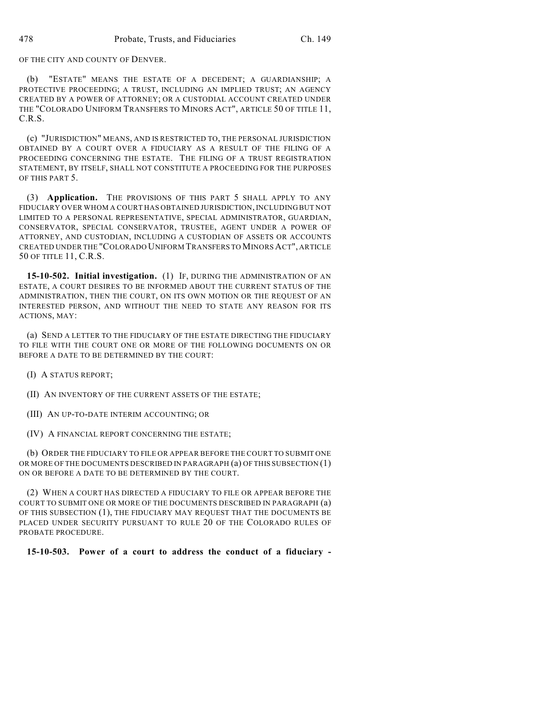OF THE CITY AND COUNTY OF DENVER.

(b) "ESTATE" MEANS THE ESTATE OF A DECEDENT; A GUARDIANSHIP; A PROTECTIVE PROCEEDING; A TRUST, INCLUDING AN IMPLIED TRUST; AN AGENCY CREATED BY A POWER OF ATTORNEY; OR A CUSTODIAL ACCOUNT CREATED UNDER THE "COLORADO UNIFORM TRANSFERS TO MINORS ACT", ARTICLE 50 OF TITLE 11, C.R.S.

(c) "JURISDICTION" MEANS, AND IS RESTRICTED TO, THE PERSONAL JURISDICTION OBTAINED BY A COURT OVER A FIDUCIARY AS A RESULT OF THE FILING OF A PROCEEDING CONCERNING THE ESTATE. THE FILING OF A TRUST REGISTRATION STATEMENT, BY ITSELF, SHALL NOT CONSTITUTE A PROCEEDING FOR THE PURPOSES OF THIS PART 5.

(3) **Application.** THE PROVISIONS OF THIS PART 5 SHALL APPLY TO ANY FIDUCIARY OVER WHOM A COURT HAS OBTAINED JURISDICTION, INCLUDING BUT NOT LIMITED TO A PERSONAL REPRESENTATIVE, SPECIAL ADMINISTRATOR, GUARDIAN, CONSERVATOR, SPECIAL CONSERVATOR, TRUSTEE, AGENT UNDER A POWER OF ATTORNEY, AND CUSTODIAN, INCLUDING A CUSTODIAN OF ASSETS OR ACCOUNTS CREATED UNDER THE "COLORADO UNIFORM TRANSFERS TO MINORS ACT", ARTICLE 50 OF TITLE 11, C.R.S.

**15-10-502. Initial investigation.** (1) IF, DURING THE ADMINISTRATION OF AN ESTATE, A COURT DESIRES TO BE INFORMED ABOUT THE CURRENT STATUS OF THE ADMINISTRATION, THEN THE COURT, ON ITS OWN MOTION OR THE REQUEST OF AN INTERESTED PERSON, AND WITHOUT THE NEED TO STATE ANY REASON FOR ITS ACTIONS, MAY:

(a) SEND A LETTER TO THE FIDUCIARY OF THE ESTATE DIRECTING THE FIDUCIARY TO FILE WITH THE COURT ONE OR MORE OF THE FOLLOWING DOCUMENTS ON OR BEFORE A DATE TO BE DETERMINED BY THE COURT:

(I) A STATUS REPORT;

(II) AN INVENTORY OF THE CURRENT ASSETS OF THE ESTATE;

(III) AN UP-TO-DATE INTERIM ACCOUNTING; OR

(IV) A FINANCIAL REPORT CONCERNING THE ESTATE;

(b) ORDER THE FIDUCIARY TO FILE OR APPEAR BEFORE THE COURT TO SUBMIT ONE OR MORE OF THE DOCUMENTS DESCRIBED IN PARAGRAPH (a) OF THIS SUBSECTION (1) ON OR BEFORE A DATE TO BE DETERMINED BY THE COURT.

(2) WHEN A COURT HAS DIRECTED A FIDUCIARY TO FILE OR APPEAR BEFORE THE COURT TO SUBMIT ONE OR MORE OF THE DOCUMENTS DESCRIBED IN PARAGRAPH (a) OF THIS SUBSECTION (1), THE FIDUCIARY MAY REQUEST THAT THE DOCUMENTS BE PLACED UNDER SECURITY PURSUANT TO RULE 20 OF THE COLORADO RULES OF PROBATE PROCEDURE.

**15-10-503. Power of a court to address the conduct of a fiduciary -**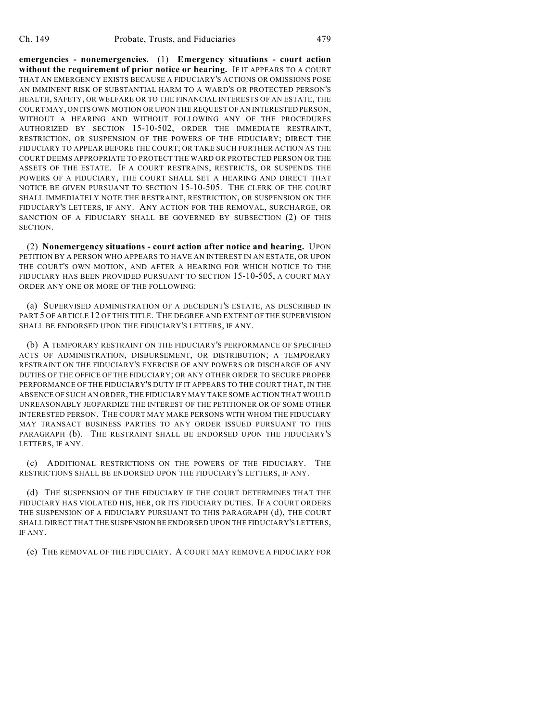**emergencies - nonemergencies.** (1) **Emergency situations - court action without the requirement of prior notice or hearing.** IF IT APPEARS TO A COURT THAT AN EMERGENCY EXISTS BECAUSE A FIDUCIARY'S ACTIONS OR OMISSIONS POSE AN IMMINENT RISK OF SUBSTANTIAL HARM TO A WARD'S OR PROTECTED PERSON'S HEALTH, SAFETY, OR WELFARE OR TO THE FINANCIAL INTERESTS OF AN ESTATE, THE COURT MAY, ON ITS OWN MOTION OR UPON THE REQUEST OF AN INTERESTED PERSON, WITHOUT A HEARING AND WITHOUT FOLLOWING ANY OF THE PROCEDURES AUTHORIZED BY SECTION 15-10-502, ORDER THE IMMEDIATE RESTRAINT, RESTRICTION, OR SUSPENSION OF THE POWERS OF THE FIDUCIARY; DIRECT THE FIDUCIARY TO APPEAR BEFORE THE COURT; OR TAKE SUCH FURTHER ACTION AS THE COURT DEEMS APPROPRIATE TO PROTECT THE WARD OR PROTECTED PERSON OR THE ASSETS OF THE ESTATE. IF A COURT RESTRAINS, RESTRICTS, OR SUSPENDS THE POWERS OF A FIDUCIARY, THE COURT SHALL SET A HEARING AND DIRECT THAT NOTICE BE GIVEN PURSUANT TO SECTION 15-10-505. THE CLERK OF THE COURT SHALL IMMEDIATELY NOTE THE RESTRAINT, RESTRICTION, OR SUSPENSION ON THE FIDUCIARY'S LETTERS, IF ANY. ANY ACTION FOR THE REMOVAL, SURCHARGE, OR SANCTION OF A FIDUCIARY SHALL BE GOVERNED BY SUBSECTION (2) OF THIS SECTION.

(2) **Nonemergency situations - court action after notice and hearing.** UPON PETITION BY A PERSON WHO APPEARS TO HAVE AN INTEREST IN AN ESTATE, OR UPON THE COURT'S OWN MOTION, AND AFTER A HEARING FOR WHICH NOTICE TO THE FIDUCIARY HAS BEEN PROVIDED PURSUANT TO SECTION 15-10-505, A COURT MAY ORDER ANY ONE OR MORE OF THE FOLLOWING:

(a) SUPERVISED ADMINISTRATION OF A DECEDENT'S ESTATE, AS DESCRIBED IN PART 5 OF ARTICLE 12 OF THIS TITLE. THE DEGREE AND EXTENT OF THE SUPERVISION SHALL BE ENDORSED UPON THE FIDUCIARY'S LETTERS, IF ANY.

(b) A TEMPORARY RESTRAINT ON THE FIDUCIARY'S PERFORMANCE OF SPECIFIED ACTS OF ADMINISTRATION, DISBURSEMENT, OR DISTRIBUTION; A TEMPORARY RESTRAINT ON THE FIDUCIARY'S EXERCISE OF ANY POWERS OR DISCHARGE OF ANY DUTIES OF THE OFFICE OF THE FIDUCIARY; OR ANY OTHER ORDER TO SECURE PROPER PERFORMANCE OF THE FIDUCIARY'S DUTY IF IT APPEARS TO THE COURT THAT, IN THE ABSENCE OF SUCH AN ORDER, THE FIDUCIARY MAY TAKE SOME ACTION THAT WOULD UNREASONABLY JEOPARDIZE THE INTEREST OF THE PETITIONER OR OF SOME OTHER INTERESTED PERSON. THE COURT MAY MAKE PERSONS WITH WHOM THE FIDUCIARY MAY TRANSACT BUSINESS PARTIES TO ANY ORDER ISSUED PURSUANT TO THIS PARAGRAPH (b). THE RESTRAINT SHALL BE ENDORSED UPON THE FIDUCIARY'S LETTERS, IF ANY.

(c) ADDITIONAL RESTRICTIONS ON THE POWERS OF THE FIDUCIARY. THE RESTRICTIONS SHALL BE ENDORSED UPON THE FIDUCIARY'S LETTERS, IF ANY.

(d) THE SUSPENSION OF THE FIDUCIARY IF THE COURT DETERMINES THAT THE FIDUCIARY HAS VIOLATED HIS, HER, OR ITS FIDUCIARY DUTIES. IF A COURT ORDERS THE SUSPENSION OF A FIDUCIARY PURSUANT TO THIS PARAGRAPH (d), THE COURT SHALL DIRECT THAT THE SUSPENSION BE ENDORSED UPON THE FIDUCIARY'S LETTERS, IF ANY.

(e) THE REMOVAL OF THE FIDUCIARY. A COURT MAY REMOVE A FIDUCIARY FOR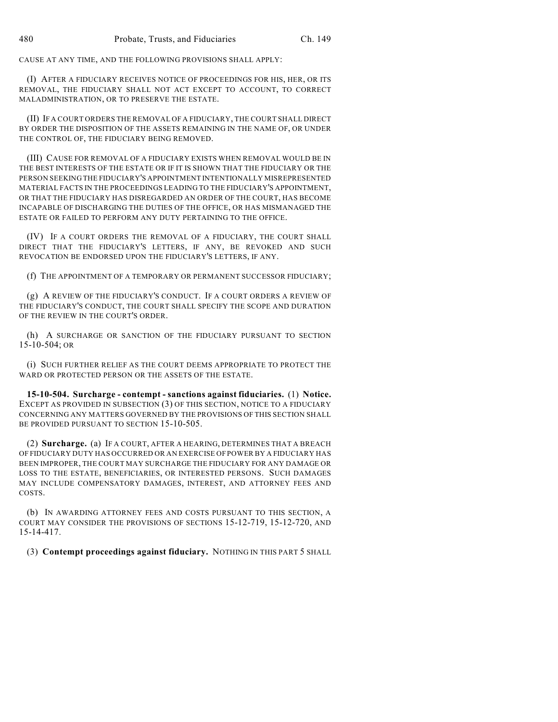CAUSE AT ANY TIME, AND THE FOLLOWING PROVISIONS SHALL APPLY:

(I) AFTER A FIDUCIARY RECEIVES NOTICE OF PROCEEDINGS FOR HIS, HER, OR ITS REMOVAL, THE FIDUCIARY SHALL NOT ACT EXCEPT TO ACCOUNT, TO CORRECT MALADMINISTRATION, OR TO PRESERVE THE ESTATE.

(II) IF A COURT ORDERS THE REMOVAL OF A FIDUCIARY, THE COURT SHALL DIRECT BY ORDER THE DISPOSITION OF THE ASSETS REMAINING IN THE NAME OF, OR UNDER THE CONTROL OF, THE FIDUCIARY BEING REMOVED.

(III) CAUSE FOR REMOVAL OF A FIDUCIARY EXISTS WHEN REMOVAL WOULD BE IN THE BEST INTERESTS OF THE ESTATE OR IF IT IS SHOWN THAT THE FIDUCIARY OR THE PERSON SEEKING THE FIDUCIARY'S APPOINTMENT INTENTIONALLY MISREPRESENTED MATERIAL FACTS IN THE PROCEEDINGS LEADING TO THE FIDUCIARY'S APPOINTMENT, OR THAT THE FIDUCIARY HAS DISREGARDED AN ORDER OF THE COURT, HAS BECOME INCAPABLE OF DISCHARGING THE DUTIES OF THE OFFICE, OR HAS MISMANAGED THE ESTATE OR FAILED TO PERFORM ANY DUTY PERTAINING TO THE OFFICE.

(IV) IF A COURT ORDERS THE REMOVAL OF A FIDUCIARY, THE COURT SHALL DIRECT THAT THE FIDUCIARY'S LETTERS, IF ANY, BE REVOKED AND SUCH REVOCATION BE ENDORSED UPON THE FIDUCIARY'S LETTERS, IF ANY.

(f) THE APPOINTMENT OF A TEMPORARY OR PERMANENT SUCCESSOR FIDUCIARY;

(g) A REVIEW OF THE FIDUCIARY'S CONDUCT. IF A COURT ORDERS A REVIEW OF THE FIDUCIARY'S CONDUCT, THE COURT SHALL SPECIFY THE SCOPE AND DURATION OF THE REVIEW IN THE COURT'S ORDER.

(h) A SURCHARGE OR SANCTION OF THE FIDUCIARY PURSUANT TO SECTION 15-10-504; OR

(i) SUCH FURTHER RELIEF AS THE COURT DEEMS APPROPRIATE TO PROTECT THE WARD OR PROTECTED PERSON OR THE ASSETS OF THE ESTATE.

**15-10-504. Surcharge - contempt - sanctions against fiduciaries.** (1) **Notice.** EXCEPT AS PROVIDED IN SUBSECTION (3) OF THIS SECTION, NOTICE TO A FIDUCIARY CONCERNING ANY MATTERS GOVERNED BY THE PROVISIONS OF THIS SECTION SHALL BE PROVIDED PURSUANT TO SECTION 15-10-505.

(2) **Surcharge.** (a) IF A COURT, AFTER A HEARING, DETERMINES THAT A BREACH OF FIDUCIARY DUTY HAS OCCURRED OR AN EXERCISE OF POWER BY A FIDUCIARY HAS BEEN IMPROPER, THE COURT MAY SURCHARGE THE FIDUCIARY FOR ANY DAMAGE OR LOSS TO THE ESTATE, BENEFICIARIES, OR INTERESTED PERSONS. SUCH DAMAGES MAY INCLUDE COMPENSATORY DAMAGES, INTEREST, AND ATTORNEY FEES AND COSTS.

(b) IN AWARDING ATTORNEY FEES AND COSTS PURSUANT TO THIS SECTION, A COURT MAY CONSIDER THE PROVISIONS OF SECTIONS 15-12-719, 15-12-720, AND 15-14-417.

(3) **Contempt proceedings against fiduciary.** NOTHING IN THIS PART 5 SHALL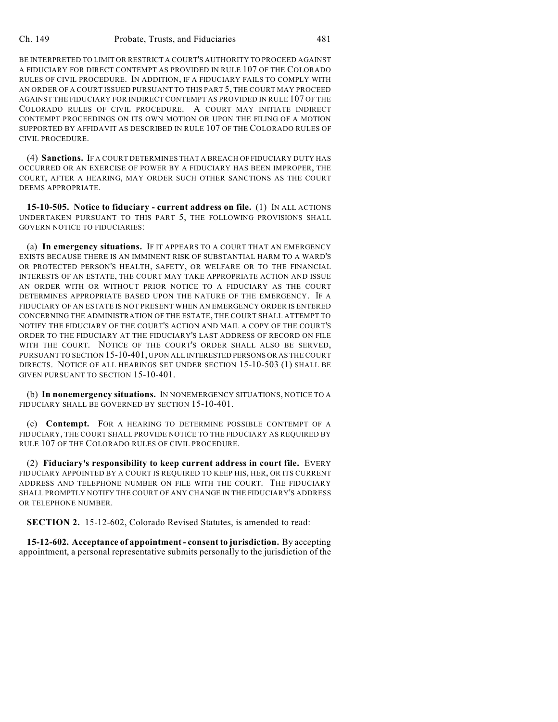BE INTERPRETED TO LIMIT OR RESTRICT A COURT'S AUTHORITY TO PROCEED AGAINST A FIDUCIARY FOR DIRECT CONTEMPT AS PROVIDED IN RULE 107 OF THE COLORADO RULES OF CIVIL PROCEDURE. IN ADDITION, IF A FIDUCIARY FAILS TO COMPLY WITH AN ORDER OF A COURT ISSUED PURSUANT TO THIS PART 5, THE COURT MAY PROCEED AGAINST THE FIDUCIARY FOR INDIRECT CONTEMPT AS PROVIDED IN RULE 107 OF THE COLORADO RULES OF CIVIL PROCEDURE. A COURT MAY INITIATE INDIRECT CONTEMPT PROCEEDINGS ON ITS OWN MOTION OR UPON THE FILING OF A MOTION SUPPORTED BY AFFIDAVIT AS DESCRIBED IN RULE 107 OF THE COLORADO RULES OF CIVIL PROCEDURE.

(4) **Sanctions.** IF A COURT DETERMINES THAT A BREACH OF FIDUCIARY DUTY HAS OCCURRED OR AN EXERCISE OF POWER BY A FIDUCIARY HAS BEEN IMPROPER, THE COURT, AFTER A HEARING, MAY ORDER SUCH OTHER SANCTIONS AS THE COURT DEEMS APPROPRIATE.

**15-10-505. Notice to fiduciary - current address on file.** (1) IN ALL ACTIONS UNDERTAKEN PURSUANT TO THIS PART 5, THE FOLLOWING PROVISIONS SHALL GOVERN NOTICE TO FIDUCIARIES:

(a) **In emergency situations.** IF IT APPEARS TO A COURT THAT AN EMERGENCY EXISTS BECAUSE THERE IS AN IMMINENT RISK OF SUBSTANTIAL HARM TO A WARD'S OR PROTECTED PERSON'S HEALTH, SAFETY, OR WELFARE OR TO THE FINANCIAL INTERESTS OF AN ESTATE, THE COURT MAY TAKE APPROPRIATE ACTION AND ISSUE AN ORDER WITH OR WITHOUT PRIOR NOTICE TO A FIDUCIARY AS THE COURT DETERMINES APPROPRIATE BASED UPON THE NATURE OF THE EMERGENCY. IF A FIDUCIARY OF AN ESTATE IS NOT PRESENT WHEN AN EMERGENCY ORDER IS ENTERED CONCERNING THE ADMINISTRATION OF THE ESTATE, THE COURT SHALL ATTEMPT TO NOTIFY THE FIDUCIARY OF THE COURT'S ACTION AND MAIL A COPY OF THE COURT'S ORDER TO THE FIDUCIARY AT THE FIDUCIARY'S LAST ADDRESS OF RECORD ON FILE WITH THE COURT. NOTICE OF THE COURT'S ORDER SHALL ALSO BE SERVED, PURSUANT TO SECTION 15-10-401, UPON ALL INTERESTED PERSONS OR AS THE COURT DIRECTS. NOTICE OF ALL HEARINGS SET UNDER SECTION 15-10-503 (1) SHALL BE GIVEN PURSUANT TO SECTION 15-10-401.

(b) **In nonemergency situations.** IN NONEMERGENCY SITUATIONS, NOTICE TO A FIDUCIARY SHALL BE GOVERNED BY SECTION 15-10-401.

(c) **Contempt.** FOR A HEARING TO DETERMINE POSSIBLE CONTEMPT OF A FIDUCIARY, THE COURT SHALL PROVIDE NOTICE TO THE FIDUCIARY AS REQUIRED BY RULE 107 OF THE COLORADO RULES OF CIVIL PROCEDURE.

(2) **Fiduciary's responsibility to keep current address in court file.** EVERY FIDUCIARY APPOINTED BY A COURT IS REQUIRED TO KEEP HIS, HER, OR ITS CURRENT ADDRESS AND TELEPHONE NUMBER ON FILE WITH THE COURT. THE FIDUCIARY SHALL PROMPTLY NOTIFY THE COURT OF ANY CHANGE IN THE FIDUCIARY'S ADDRESS OR TELEPHONE NUMBER.

**SECTION 2.** 15-12-602, Colorado Revised Statutes, is amended to read:

**15-12-602. Acceptance of appointment - consent to jurisdiction.** By accepting appointment, a personal representative submits personally to the jurisdiction of the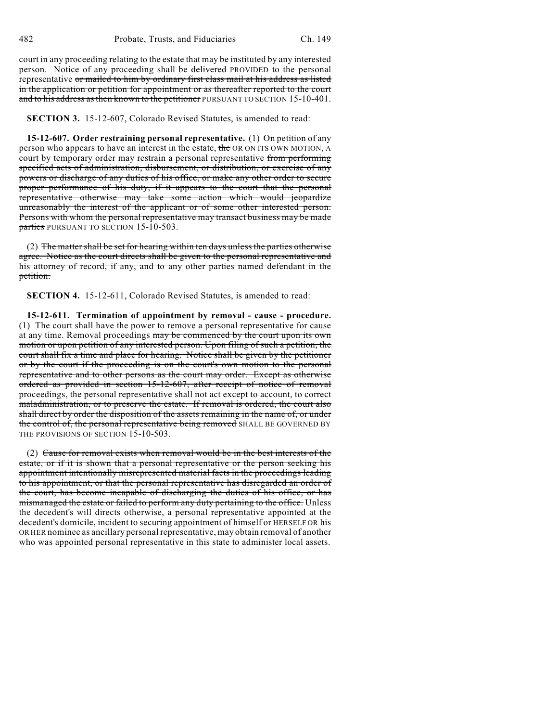court in any proceeding relating to the estate that may be instituted by any interested person. Notice of any proceeding shall be delivered PROVIDED to the personal representative or mailed to him by ordinary first class mail at his address as listed in the application or petition for appointment or as thereafter reported to the court and to his address as then known to the petitioner PURSUANT TO SECTION 15-10-401.

**SECTION 3.** 15-12-607, Colorado Revised Statutes, is amended to read:

**15-12-607. Order restraining personal representative.** (1) On petition of any person who appears to have an interest in the estate, the OR ON ITS OWN MOTION, A court by temporary order may restrain a personal representative from performing specified acts of administration, disbursement, or distribution, or exercise of any powers or discharge of any duties of his office, or make any other order to secure proper performance of his duty, if it appears to the court that the personal representative otherwise may take some action which would jeopardize unreasonably the interest of the applicant or of some other interested person. Persons with whom the personal representative may transact business may be made parties PURSUANT TO SECTION 15-10-503.

(2) The matter shall be set for hearing within ten days unless the parties otherwise agree. Notice as the court directs shall be given to the personal representative and his attorney of record, if any, and to any other parties named defendant in the petition.

**SECTION 4.** 15-12-611, Colorado Revised Statutes, is amended to read:

**15-12-611. Termination of appointment by removal - cause - procedure.** (1) The court shall have the power to remove a personal representative for cause at any time. Removal proceedings may be commenced by the court upon its own motion or upon petition of any interested person. Upon filing of such a petition, the court shall fix a time and place for hearing. Notice shall be given by the petitioner or by the court if the proceeding is on the court's own motion to the personal representative and to other persons as the court may order. Except as otherwise ordered as provided in section 15-12-607, after receipt of notice of removal proceedings, the personal representative shall not act except to account, to correct maladministration, or to preserve the estate. If removal is ordered, the court also shall direct by order the disposition of the assets remaining in the name of, or under the control of, the personal representative being removed SHALL BE GOVERNED BY THE PROVISIONS OF SECTION 15-10-503.

(2) Cause for removal exists when removal would be in the best interests of the estate, or if it is shown that a personal representative or the person seeking his appointment intentionally misrepresented material facts in the proceedings leading to his appointment, or that the personal representative has disregarded an order of the court, has become incapable of discharging the duties of his office, or has mismanaged the estate or failed to perform any duty pertaining to the office. Unless the decedent's will directs otherwise, a personal representative appointed at the decedent's domicile, incident to securing appointment of himself or HERSELF OR his OR HER nominee as ancillary personal representative, may obtain removal of another who was appointed personal representative in this state to administer local assets.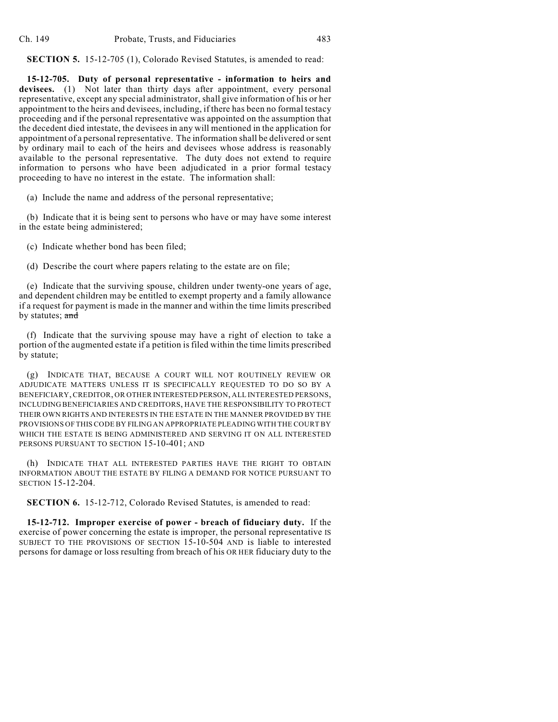**SECTION 5.** 15-12-705 (1), Colorado Revised Statutes, is amended to read:

**15-12-705. Duty of personal representative - information to heirs and** devisees. (1) Not later than thirty days after appointment, every personal representative, except any special administrator, shall give information of his or her appointment to the heirs and devisees, including, if there has been no formal testacy proceeding and if the personal representative was appointed on the assumption that the decedent died intestate, the devisees in any will mentioned in the application for appointment of a personal representative. The information shall be delivered or sent by ordinary mail to each of the heirs and devisees whose address is reasonably available to the personal representative. The duty does not extend to require information to persons who have been adjudicated in a prior formal testacy proceeding to have no interest in the estate. The information shall:

(a) Include the name and address of the personal representative;

(b) Indicate that it is being sent to persons who have or may have some interest in the estate being administered;

(c) Indicate whether bond has been filed;

(d) Describe the court where papers relating to the estate are on file;

(e) Indicate that the surviving spouse, children under twenty-one years of age, and dependent children may be entitled to exempt property and a family allowance if a request for payment is made in the manner and within the time limits prescribed by statutes;  $\frac{1}{\text{and}}$ 

(f) Indicate that the surviving spouse may have a right of election to take a portion of the augmented estate if a petition is filed within the time limits prescribed by statute;

(g) INDICATE THAT, BECAUSE A COURT WILL NOT ROUTINELY REVIEW OR ADJUDICATE MATTERS UNLESS IT IS SPECIFICALLY REQUESTED TO DO SO BY A BENEFICIARY, CREDITOR, OR OTHER INTERESTED PERSON, ALL INTERESTED PERSONS, INCLUDING BENEFICIARIES AND CREDITORS, HAVE THE RESPONSIBILITY TO PROTECT THEIR OWN RIGHTS AND INTERESTS IN THE ESTATE IN THE MANNER PROVIDED BY THE PROVISIONS OF THIS CODE BY FILING AN APPROPRIATE PLEADING WITH THE COURT BY WHICH THE ESTATE IS BEING ADMINISTERED AND SERVING IT ON ALL INTERESTED PERSONS PURSUANT TO SECTION 15-10-401; AND

(h) INDICATE THAT ALL INTERESTED PARTIES HAVE THE RIGHT TO OBTAIN INFORMATION ABOUT THE ESTATE BY FILING A DEMAND FOR NOTICE PURSUANT TO SECTION 15-12-204.

**SECTION 6.** 15-12-712, Colorado Revised Statutes, is amended to read:

**15-12-712. Improper exercise of power - breach of fiduciary duty.** If the exercise of power concerning the estate is improper, the personal representative IS SUBJECT TO THE PROVISIONS OF SECTION 15-10-504 AND is liable to interested persons for damage or loss resulting from breach of his OR HER fiduciary duty to the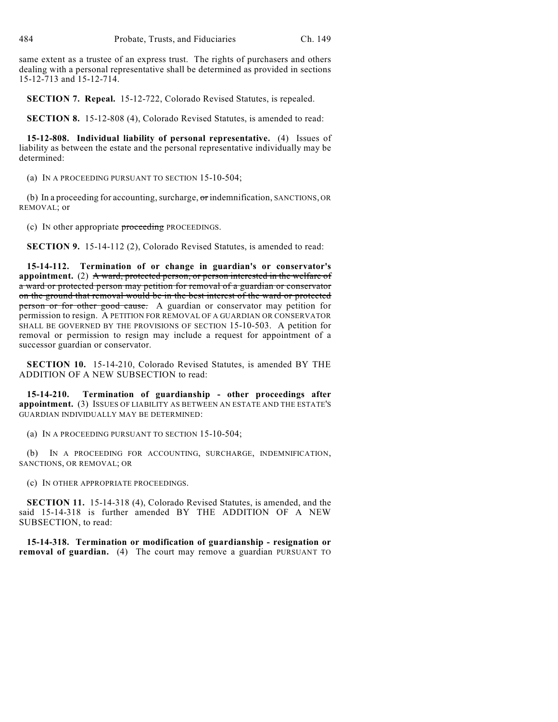same extent as a trustee of an express trust. The rights of purchasers and others dealing with a personal representative shall be determined as provided in sections 15-12-713 and 15-12-714.

**SECTION 7. Repeal.** 15-12-722, Colorado Revised Statutes, is repealed.

**SECTION 8.** 15-12-808 (4), Colorado Revised Statutes, is amended to read:

**15-12-808. Individual liability of personal representative.** (4) Issues of liability as between the estate and the personal representative individually may be determined:

(a) IN A PROCEEDING PURSUANT TO SECTION 15-10-504;

(b) In a proceeding for accounting, surcharge, or indemnification, SANCTIONS, OR REMOVAL; or

(c) IN other appropriate proceeding PROCEEDINGS.

**SECTION 9.** 15-14-112 (2), Colorado Revised Statutes, is amended to read:

**15-14-112. Termination of or change in guardian's or conservator's appointment.** (2) A ward, protected person, or person interested in the welfare of a ward or protected person may petition for removal of a guardian or conservator on the ground that removal would be in the best interest of the ward or protected person or for other good cause. A guardian or conservator may petition for permission to resign. A PETITION FOR REMOVAL OF A GUARDIAN OR CONSERVATOR SHALL BE GOVERNED BY THE PROVISIONS OF SECTION 15-10-503. A petition for removal or permission to resign may include a request for appointment of a successor guardian or conservator.

**SECTION 10.** 15-14-210, Colorado Revised Statutes, is amended BY THE ADDITION OF A NEW SUBSECTION to read:

**15-14-210. Termination of guardianship - other proceedings after appointment.** (3) ISSUES OF LIABILITY AS BETWEEN AN ESTATE AND THE ESTATE'S GUARDIAN INDIVIDUALLY MAY BE DETERMINED:

(a) IN A PROCEEDING PURSUANT TO SECTION 15-10-504;

(b) IN A PROCEEDING FOR ACCOUNTING, SURCHARGE, INDEMNIFICATION, SANCTIONS, OR REMOVAL; OR

(c) IN OTHER APPROPRIATE PROCEEDINGS.

**SECTION 11.** 15-14-318 (4), Colorado Revised Statutes, is amended, and the said 15-14-318 is further amended BY THE ADDITION OF A NEW SUBSECTION, to read:

**15-14-318. Termination or modification of guardianship - resignation or removal of guardian.** (4) The court may remove a guardian PURSUANT TO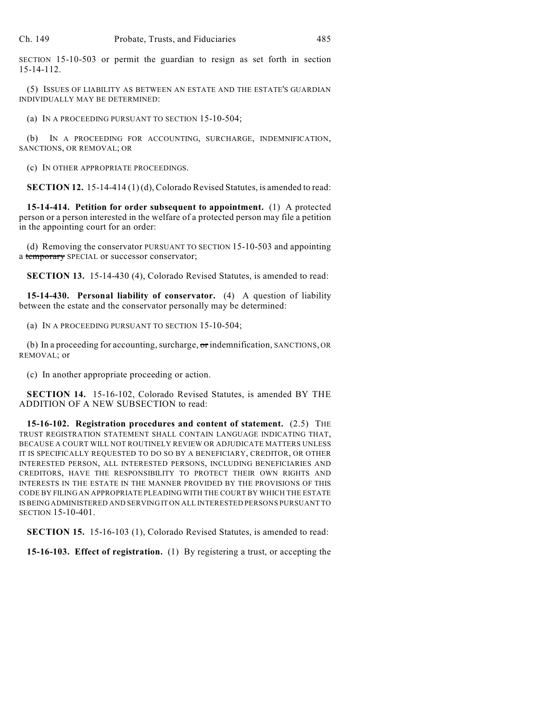SECTION 15-10-503 or permit the guardian to resign as set forth in section 15-14-112.

(5) ISSUES OF LIABILITY AS BETWEEN AN ESTATE AND THE ESTATE'S GUARDIAN INDIVIDUALLY MAY BE DETERMINED:

(a) IN A PROCEEDING PURSUANT TO SECTION 15-10-504;

(b) IN A PROCEEDING FOR ACCOUNTING, SURCHARGE, INDEMNIFICATION, SANCTIONS, OR REMOVAL; OR

(c) IN OTHER APPROPRIATE PROCEEDINGS.

**SECTION 12.** 15-14-414 (1) (d), Colorado Revised Statutes, is amended to read:

**15-14-414. Petition for order subsequent to appointment.** (1) A protected person or a person interested in the welfare of a protected person may file a petition in the appointing court for an order:

(d) Removing the conservator PURSUANT TO SECTION 15-10-503 and appointing a temporary SPECIAL or successor conservator;

**SECTION 13.** 15-14-430 (4), Colorado Revised Statutes, is amended to read:

**15-14-430. Personal liability of conservator.** (4) A question of liability between the estate and the conservator personally may be determined:

(a) IN A PROCEEDING PURSUANT TO SECTION 15-10-504;

(b) In a proceeding for accounting, surcharge, or indemnification, SANCTIONS, OR REMOVAL; or

(c) In another appropriate proceeding or action.

**SECTION 14.** 15-16-102, Colorado Revised Statutes, is amended BY THE ADDITION OF A NEW SUBSECTION to read:

**15-16-102. Registration procedures and content of statement.** (2.5) THE TRUST REGISTRATION STATEMENT SHALL CONTAIN LANGUAGE INDICATING THAT, BECAUSE A COURT WILL NOT ROUTINELY REVIEW OR ADJUDICATE MATTERS UNLESS IT IS SPECIFICALLY REQUESTED TO DO SO BY A BENEFICIARY, CREDITOR, OR OTHER INTERESTED PERSON, ALL INTERESTED PERSONS, INCLUDING BENEFICIARIES AND CREDITORS, HAVE THE RESPONSIBILITY TO PROTECT THEIR OWN RIGHTS AND INTERESTS IN THE ESTATE IN THE MANNER PROVIDED BY THE PROVISIONS OF THIS CODE BY FILING AN APPROPRIATE PLEADING WITH THE COURT BY WHICH THE ESTATE IS BEING ADMINISTERED AND SERVING IT ON ALL INTERESTED PERSONS PURSUANT TO SECTION 15-10-401.

**SECTION 15.** 15-16-103 (1), Colorado Revised Statutes, is amended to read:

**15-16-103. Effect of registration.** (1) By registering a trust, or accepting the